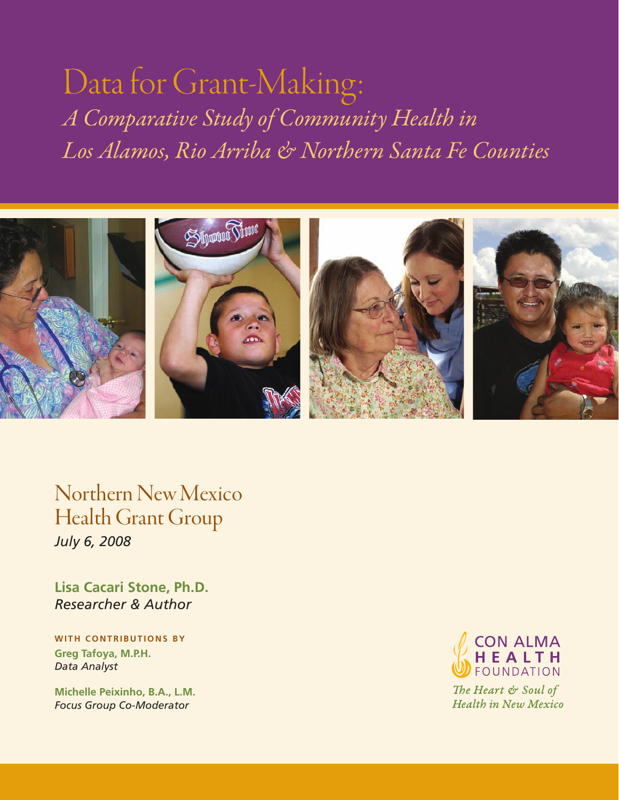# Data for Grant-Making: *A Comparative Study of Community Health in Los Alamos, Rio Arriba & Northern Santa Fe Counties*



Northern New Mexico Health Grant Group *July 6, 2008*

**Lisa Cacari Stone, Ph.D.** *Researcher & Author*

**WITH CONTRIBUTIONS BY Greg Tafoya, M.P.H.** *Data Analyst*

**Michelle Peixinho, B.A., L.M.** *Focus Group Co-Moderator*



The Heart & Soul of **Health in New Mexico**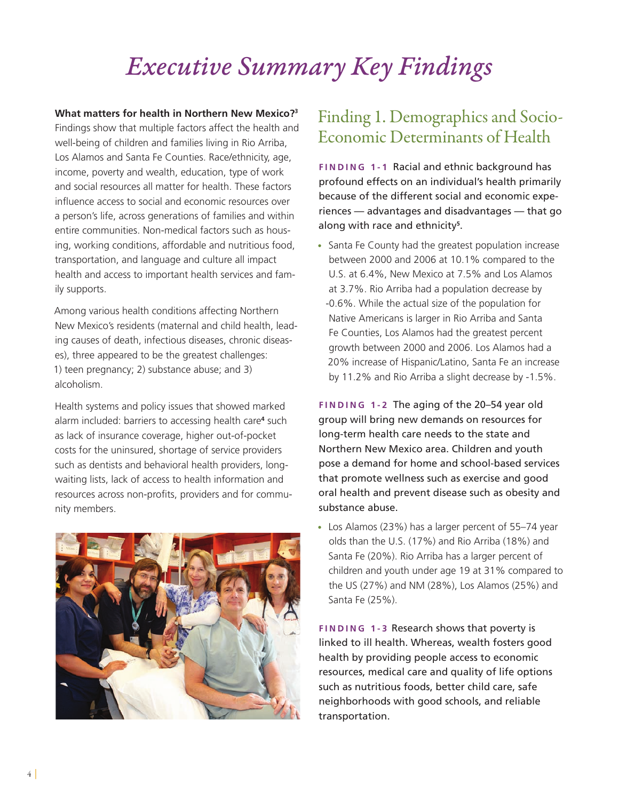## *Executive Summary Key Findings*

**What matters for health in Northern New Mexico?3** Findings show that multiple factors affect the health and well-being of children and families living in Rio Arriba, Los Alamos and Santa Fe Counties. Race/ethnicity, age, income, poverty and wealth, education, type of work and social resources all matter for health. These factors influence access to social and economic resources over a person's life, across generations of families and within entire communities. Non-medical factors such as housing, working conditions, affordable and nutritious food, transportation, and language and culture all impact health and access to important health services and family supports.

Among various health conditions affecting Northern New Mexico's residents (maternal and child health, leading causes of death, infectious diseases, chronic diseases), three appeared to be the greatest challenges: 1) teen pregnancy; 2) substance abuse; and 3) alcoholism.

Health systems and policy issues that showed marked alarm included: barriers to accessing health care**<sup>4</sup>** such as lack of insurance coverage, higher out-of-pocket costs for the uninsured, shortage of service providers such as dentists and behavioral health providers, longwaiting lists, lack of access to health information and resources across non-profits, providers and for community members.



### Finding 1. Demographics and Socio-Economic Determinants of Health

**FINDING 1-1 Racial and ethnic background has** profound effects on an individual's health primarily because of the different social and economic experiences — advantages and disadvantages — that go along with race and ethnicity**<sup>5</sup>** .

**•**  Santa Fe County had the greatest population increase between 2000 and 2006 at 10.1% compared to the U.S. at 6.4%, New Mexico at 7.5% and Los Alamos at 3.7%. Rio Arriba had a population decrease by -0.6%. While the actual size of the population for Native Americans is larger in Rio Arriba and Santa Fe Counties, Los Alamos had the greatest percent growth between 2000 and 2006. Los Alamos had a 20% increase of Hispanic/Latino, Santa Fe an increase by 11.2% and Rio Arriba a slight decrease by -1.5%.

**Fin d i n g 1-2** The aging of the 20–54 year old group will bring new demands on resources for long-term health care needs to the state and Northern New Mexico area. Children and youth pose a demand for home and school-based services that promote wellness such as exercise and good oral health and prevent disease such as obesity and substance abuse.

**•**  Los Alamos (23%) has a larger percent of 55–74 year olds than the U.S. (17%) and Rio Arriba (18%) and Santa Fe (20%). Rio Arriba has a larger percent of children and youth under age 19 at 31% compared to the US (27%) and NM (28%), Los Alamos (25%) and Santa Fe (25%).

**FINDING 1-3 Research shows that poverty is** linked to ill health. Whereas, wealth fosters good health by providing people access to economic resources, medical care and quality of life options such as nutritious foods, better child care, safe neighborhoods with good schools, and reliable transportation.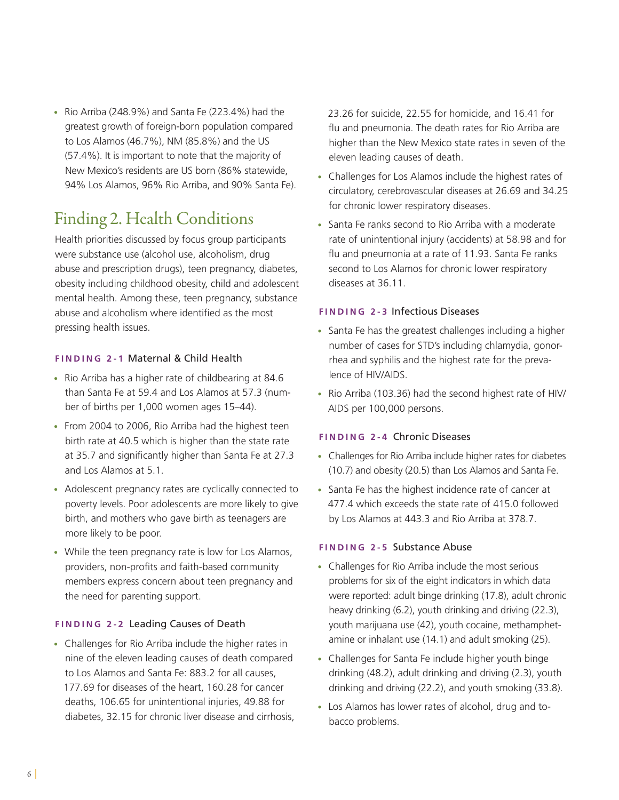**•**  Rio Arriba (248.9%) and Santa Fe (223.4%) had the greatest growth of foreign-born population compared to Los Alamos (46.7%), NM (85.8%) and the US (57.4%). It is important to note that the majority of New Mexico's residents are US born (86% statewide, 94% Los Alamos, 96% Rio Arriba, and 90% Santa Fe).

### Finding 2. Health Conditions

Health priorities discussed by focus group participants were substance use (alcohol use, alcoholism, drug abuse and prescription drugs), teen pregnancy, diabetes, obesity including childhood obesity, child and adolescent mental health. Among these, teen pregnancy, substance abuse and alcoholism where identified as the most pressing health issues.

#### **Fin d i n g 2-1** Maternal & Child Health

- **•**  Rio Arriba has a higher rate of childbearing at 84.6 than Santa Fe at 59.4 and Los Alamos at 57.3 (number of births per 1,000 women ages 15–44).
- **•**  From 2004 to 2006, Rio Arriba had the highest teen birth rate at 40.5 which is higher than the state rate at 35.7 and significantly higher than Santa Fe at 27.3 and Los Alamos at 5.1.
- **•**  Adolescent pregnancy rates are cyclically connected to poverty levels. Poor adolescents are more likely to give birth, and mothers who gave birth as teenagers are more likely to be poor.
- While the teen pregnancy rate is low for Los Alamos, providers, non-profits and faith-based community members express concern about teen pregnancy and the need for parenting support.

#### **FINDING 2-2 Leading Causes of Death**

**•**  Challenges for Rio Arriba include the higher rates in nine of the eleven leading causes of death compared to Los Alamos and Santa Fe: 883.2 for all causes, 177.69 for diseases of the heart, 160.28 for cancer deaths, 106.65 for unintentional injuries, 49.88 for diabetes, 32.15 for chronic liver disease and cirrhosis, 23.26 for suicide, 22.55 for homicide, and 16.41 for flu and pneumonia. The death rates for Rio Arriba are higher than the New Mexico state rates in seven of the eleven leading causes of death.

- **•**  Challenges for Los Alamos include the highest rates of circulatory, cerebrovascular diseases at 26.69 and 34.25 for chronic lower respiratory diseases.
- **•**  Santa Fe ranks second to Rio Arriba with a moderate rate of unintentional injury (accidents) at 58.98 and for flu and pneumonia at a rate of 11.93. Santa Fe ranks second to Los Alamos for chronic lower respiratory diseases at 36.11.

#### **FINDING 2-3 Infectious Diseases**

- **•**  Santa Fe has the greatest challenges including a higher number of cases for STD's including chlamydia, gonorrhea and syphilis and the highest rate for the prevalence of HIV/AIDS.
- **•**  Rio Arriba (103.36) had the second highest rate of HIV/ AIDS per 100,000 persons.

#### **Fin d i n g 2-4** Chronic Diseases

- **•**  Challenges for Rio Arriba include higher rates for diabetes (10.7) and obesity (20.5) than Los Alamos and Santa Fe.
- **•**  Santa Fe has the highest incidence rate of cancer at 477.4 which exceeds the state rate of 415.0 followed by Los Alamos at 443.3 and Rio Arriba at 378.7.

#### **FINDING 2-5 Substance Abuse**

- **•**  Challenges for Rio Arriba include the most serious problems for six of the eight indicators in which data were reported: adult binge drinking (17.8), adult chronic heavy drinking (6.2), youth drinking and driving (22.3), youth marijuana use (42), youth cocaine, methamphetamine or inhalant use (14.1) and adult smoking (25).
- **•**  Challenges for Santa Fe include higher youth binge drinking (48.2), adult drinking and driving (2.3), youth drinking and driving (22.2), and youth smoking (33.8).
- **•**  Los Alamos has lower rates of alcohol, drug and tobacco problems.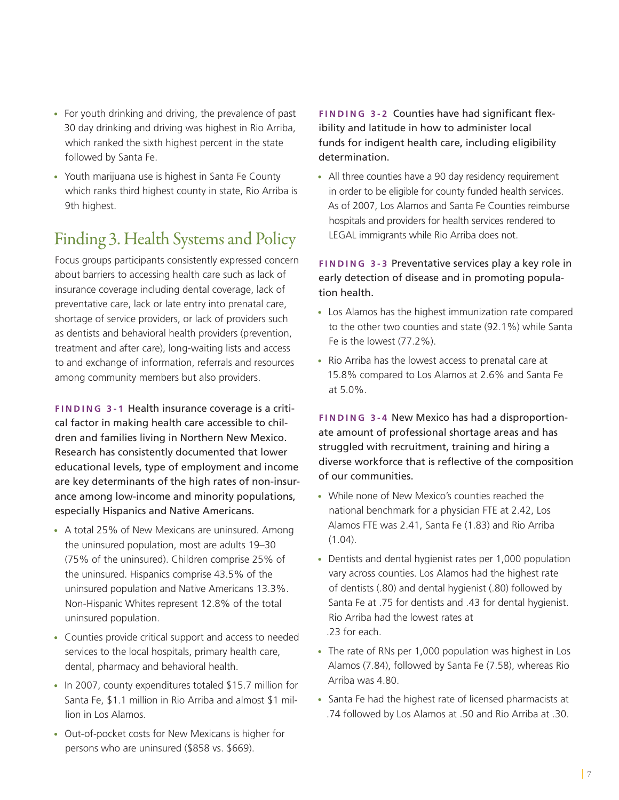- **•**  For youth drinking and driving, the prevalence of past 30 day drinking and driving was highest in Rio Arriba, which ranked the sixth highest percent in the state followed by Santa Fe.
- **•**  Youth marijuana use is highest in Santa Fe County which ranks third highest county in state, Rio Arriba is 9th highest.

### Finding 3. Health Systems and Policy

Focus groups participants consistently expressed concern about barriers to accessing health care such as lack of insurance coverage including dental coverage, lack of preventative care, lack or late entry into prenatal care, shortage of service providers, or lack of providers such as dentists and behavioral health providers (prevention, treatment and after care), long-waiting lists and access to and exchange of information, referrals and resources among community members but also providers.

**FINDING 3-1 Health insurance coverage is a criti**cal factor in making health care accessible to children and families living in Northern New Mexico. Research has consistently documented that lower educational levels, type of employment and income are key determinants of the high rates of non-insurance among low-income and minority populations, especially Hispanics and Native Americans.

- **•**  A total 25% of New Mexicans are uninsured. Among the uninsured population, most are adults 19–30 (75% of the uninsured). Children comprise 25% of the uninsured. Hispanics comprise 43.5% of the uninsured population and Native Americans 13.3%. Non-Hispanic Whites represent 12.8% of the total uninsured population.
- **•**  Counties provide critical support and access to needed services to the local hospitals, primary health care, dental, pharmacy and behavioral health.
- **•**  In 2007, county expenditures totaled \$15.7 million for Santa Fe, \$1.1 million in Rio Arriba and almost \$1 million in Los Alamos.
- **•**  Out-of-pocket costs for New Mexicans is higher for persons who are uninsured (\$858 vs. \$669).

**FINDING 3-2 Counties have had significant flex**ibility and latitude in how to administer local funds for indigent health care, including eligibility determination.

**•**  All three counties have a 90 day residency requirement in order to be eligible for county funded health services. As of 2007, Los Alamos and Santa Fe Counties reimburse hospitals and providers for health services rendered to LEGAL immigrants while Rio Arriba does not.

**FINDING 3-3 Preventative services play a key role in** early detection of disease and in promoting population health.

- **•**  Los Alamos has the highest immunization rate compared to the other two counties and state (92.1%) while Santa Fe is the lowest (77.2%).
- **•**  Rio Arriba has the lowest access to prenatal care at 15.8% compared to Los Alamos at 2.6% and Santa Fe at 5.0%.

**FINDING 3-4 New Mexico has had a disproportion**ate amount of professional shortage areas and has struggled with recruitment, training and hiring a diverse workforce that is reflective of the composition of our communities.

- **•**  While none of New Mexico's counties reached the national benchmark for a physician FTE at 2.42, Los Alamos FTE was 2.41, Santa Fe (1.83) and Rio Arriba (1.04).
- **•**  Dentists and dental hygienist rates per 1,000 population vary across counties. Los Alamos had the highest rate of dentists (.80) and dental hygienist (.80) followed by Santa Fe at .75 for dentists and .43 for dental hygienist. Rio Arriba had the lowest rates at .23 for each.
- **•**  The rate of RNs per 1,000 population was highest in Los Alamos (7.84), followed by Santa Fe (7.58), whereas Rio Arriba was 4.80.
- **•**  Santa Fe had the highest rate of licensed pharmacists at .74 followed by Los Alamos at .50 and Rio Arriba at .30.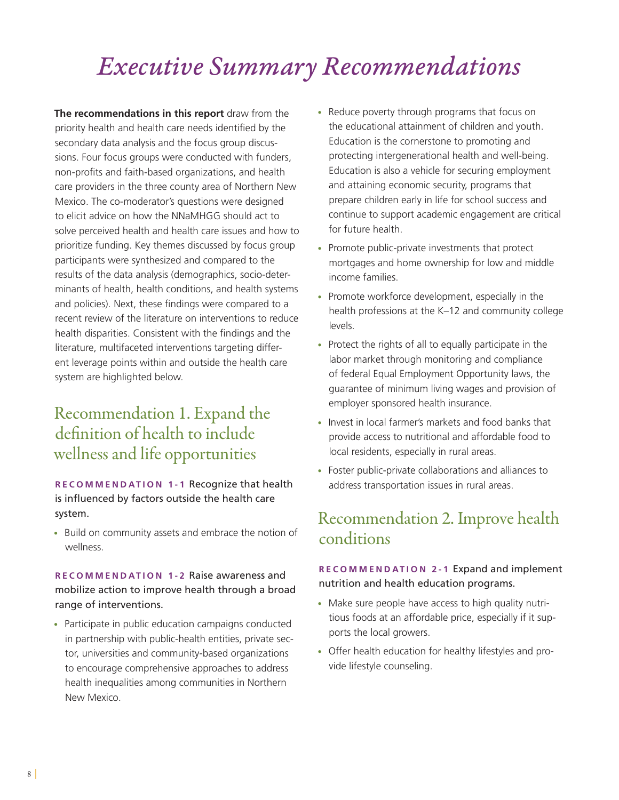## *Executive Summary Recommendations*

**The recommendations in this report** draw from the priority health and health care needs identified by the secondary data analysis and the focus group discussions. Four focus groups were conducted with funders, non-profits and faith-based organizations, and health care providers in the three county area of Northern New Mexico. The co-moderator's questions were designed to elicit advice on how the NNaMHGG should act to solve perceived health and health care issues and how to prioritize funding. Key themes discussed by focus group participants were synthesized and compared to the results of the data analysis (demographics, socio-determinants of health, health conditions, and health systems and policies). Next, these findings were compared to a recent review of the literature on interventions to reduce health disparities. Consistent with the findings and the literature, multifaceted interventions targeting different leverage points within and outside the health care system are highlighted below.

### Recommendation 1. Expand the definition of health to include wellness and life opportunities

**R e c o mm e n dation 1-1** Recognize that health is influenced by factors outside the health care system.

**•** Build on community assets and embrace the notion of wellness.

### **R e c o mm e n dation 1-2** Raise awareness and mobilize action to improve health through a broad range of interventions.

**•** Participate in public education campaigns conducted in partnership with public-health entities, private sector, universities and community-based organizations to encourage comprehensive approaches to address health inequalities among communities in Northern New Mexico.

- **•** Reduce poverty through programs that focus on the educational attainment of children and youth. Education is the cornerstone to promoting and protecting intergenerational health and well-being. Education is also a vehicle for securing employment and attaining economic security, programs that prepare children early in life for school success and continue to support academic engagement are critical for future health.
- **•** Promote public-private investments that protect mortgages and home ownership for low and middle income families.
- **•** Promote workforce development, especially in the health professions at the K–12 and community college levels.
- **•** Protect the rights of all to equally participate in the labor market through monitoring and compliance of federal Equal Employment Opportunity laws, the guarantee of minimum living wages and provision of employer sponsored health insurance.
- **•** Invest in local farmer's markets and food banks that provide access to nutritional and affordable food to local residents, especially in rural areas.
- **•** Foster public-private collaborations and alliances to address transportation issues in rural areas.

### Recommendation 2. Improve health conditions

### **R e c o mm e n dation 2-1** Expand and implement nutrition and health education programs.

- **•** Make sure people have access to high quality nutritious foods at an affordable price, especially if it supports the local growers.
- **•** Offer health education for healthy lifestyles and provide lifestyle counseling.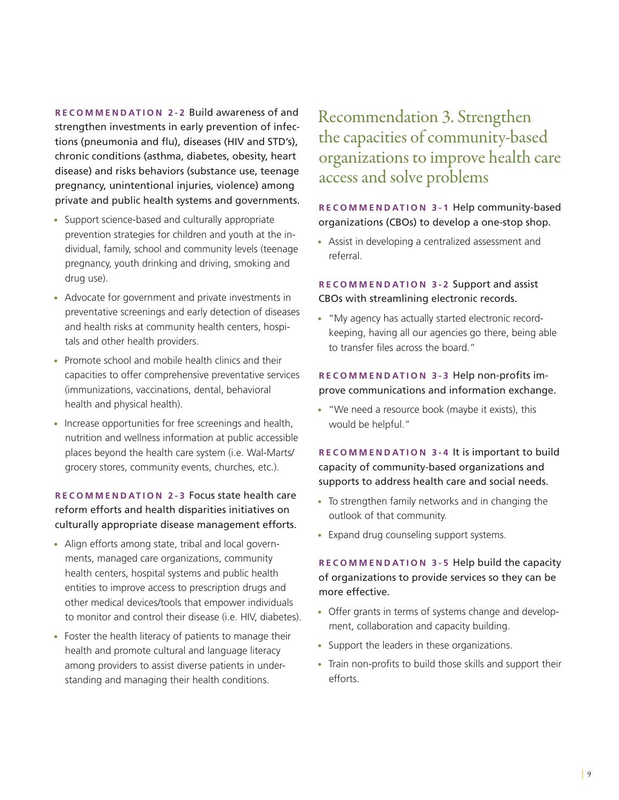**R e c o mm e n dation 2-2** Build awareness of and strengthen investments in early prevention of infections (pneumonia and flu), diseases (HIV and STD's), chronic conditions (asthma, diabetes, obesity, heart disease) and risks behaviors (substance use, teenage pregnancy, unintentional injuries, violence) among private and public health systems and governments.

- **•** Support science-based and culturally appropriate prevention strategies for children and youth at the individual, family, school and community levels (teenage pregnancy, youth drinking and driving, smoking and drug use).
- **•** Advocate for government and private investments in preventative screenings and early detection of diseases and health risks at community health centers, hospitals and other health providers.
- **•** Promote school and mobile health clinics and their capacities to offer comprehensive preventative services (immunizations, vaccinations, dental, behavioral health and physical health).
- **•** Increase opportunities for free screenings and health, nutrition and wellness information at public accessible places beyond the health care system (i.e. Wal-Marts/ grocery stores, community events, churches, etc.).

### **R e c o mm e n dation 2-3** Focus state health care reform efforts and health disparities initiatives on culturally appropriate disease management efforts.

- **•** Align efforts among state, tribal and local governments, managed care organizations, community health centers, hospital systems and public health entities to improve access to prescription drugs and other medical devices/tools that empower individuals to monitor and control their disease (i.e. HIV, diabetes).
- **•** Foster the health literacy of patients to manage their health and promote cultural and language literacy among providers to assist diverse patients in understanding and managing their health conditions.

### Recommendation 3. Strengthen the capacities of community-based organizations to improve health care access and solve problems

### **R e c o mm e n dation 3-1** Help community-based organizations (CBOs) to develop a one-stop shop.

**•** Assist in developing a centralized assessment and referral.

**R e c o mm e n dation 3-2** Support and assist CBOs with streamlining electronic records.

**•** "My agency has actually started electronic recordkeeping, having all our agencies go there, being able to transfer files across the board."

### **R e c o mm e n dation 3-3** Help non-profits improve communications and information exchange.

**•** "We need a resource book (maybe it exists), this would be helpful."

**R e c o mm e n dation 3-4** It is important to build capacity of community-based organizations and supports to address health care and social needs.

- **•** To strengthen family networks and in changing the outlook of that community.
- **•** Expand drug counseling support systems.

### **R e c o mm e n dation 3-5** Help build the capacity of organizations to provide services so they can be more effective.

- **•** Offer grants in terms of systems change and development, collaboration and capacity building.
- **•** Support the leaders in these organizations.
- **•** Train non-profits to build those skills and support their efforts.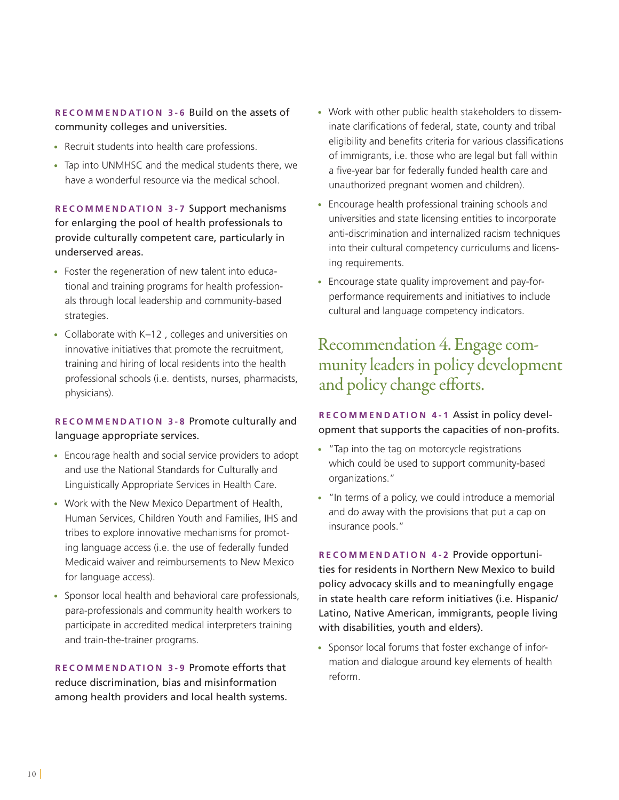**R e c o mm e n dation 3-6** Build on the assets of community colleges and universities.

- **•** Recruit students into health care professions.
- **•** Tap into UNMHSC and the medical students there, we have a wonderful resource via the medical school.

**R e c o mm e n dation 3-7** Support mechanisms for enlarging the pool of health professionals to provide culturally competent care, particularly in underserved areas.

- **•** Foster the regeneration of new talent into educational and training programs for health professionals through local leadership and community-based strategies.
- **•** Collaborate with K–12 , colleges and universities on innovative initiatives that promote the recruitment, training and hiring of local residents into the health professional schools (i.e. dentists, nurses, pharmacists, physicians).

#### **R e c o mm e n dation 3-8** Promote culturally and language appropriate services.

- **•** Encourage health and social service providers to adopt and use the National Standards for Culturally and Linguistically Appropriate Services in Health Care.
- **•** Work with the New Mexico Department of Health, Human Services, Children Youth and Families, IHS and tribes to explore innovative mechanisms for promoting language access (i.e. the use of federally funded Medicaid waiver and reimbursements to New Mexico for language access).
- **•** Sponsor local health and behavioral care professionals, para-professionals and community health workers to participate in accredited medical interpreters training and train-the-trainer programs.

**R e c o mm e n dation 3-9** Promote efforts that reduce discrimination, bias and misinformation among health providers and local health systems.

- **•** Work with other public health stakeholders to disseminate clarifications of federal, state, county and tribal eligibility and benefits criteria for various classifications of immigrants, i.e. those who are legal but fall within a five-year bar for federally funded health care and unauthorized pregnant women and children).
- **•** Encourage health professional training schools and universities and state licensing entities to incorporate anti-discrimination and internalized racism techniques into their cultural competency curriculums and licensing requirements.
- **•** Encourage state quality improvement and pay-forperformance requirements and initiatives to include cultural and language competency indicators.

### Recommendation 4. Engage community leaders in policy development and policy change efforts.

### **R e c o mm e n dation 4-1** Assist in policy development that supports the capacities of non-profits.

- **•** "Tap into the tag on motorcycle registrations which could be used to support community-based organizations."
- **•** "In terms of a policy, we could introduce a memorial and do away with the provisions that put a cap on insurance pools."

**R e c o mm e n dation 4-2** Provide opportunities for residents in Northern New Mexico to build policy advocacy skills and to meaningfully engage in state health care reform initiatives (i.e. Hispanic/ Latino, Native American, immigrants, people living with disabilities, youth and elders).

**•** Sponsor local forums that foster exchange of information and dialogue around key elements of health reform.